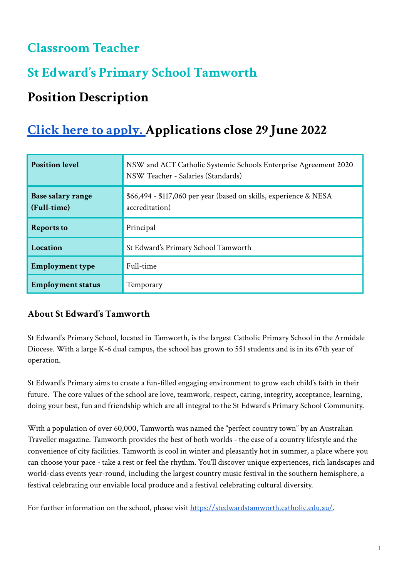## **Classroom Teacher**

# **St Edward' s Primary School Tamworth**

# **Position Description**

# **Click here to [apply.](https://www.surveymonkey.com/r/NQJB3JM) Applications close 29 June 2022**

| <b>Position level</b>            | NSW and ACT Catholic Systemic Schools Enterprise Agreement 2020<br>NSW Teacher - Salaries (Standards) |
|----------------------------------|-------------------------------------------------------------------------------------------------------|
| Base salary range<br>(Full-time) | \$66,494 - \$117,060 per year (based on skills, experience & NESA<br>accreditation)                   |
| <b>Reports to</b>                | Principal                                                                                             |
| Location                         | St Edward's Primary School Tamworth                                                                   |
| <b>Employment type</b>           | Full-time                                                                                             |
| <b>Employment status</b>         | Temporary                                                                                             |

## **About St Edward's Tamworth**

St Edward's Primary School, located in Tamworth, is the largest Catholic Primary School in the Armidale Diocese. With a large K-6 dual campus, the school has grown to 551 students and is in its 67th year of operation.

St Edward's Primary aims to create a fun-filled engaging environment to grow each child's faith in their future. The core values of the school are love, teamwork, respect, caring, integrity, acceptance, learning, doing your best, fun and friendship which are all integral to the St Edward's Primary School Community.

With a population of over 60,000, Tamworth was named the "perfect country town" by an Australian Traveller magazine. Tamworth provides the best of both worlds - the ease of a country lifestyle and the convenience of city facilities. Tamworth is cool in winter and pleasantly hot in summer, a place where you can choose your pace - take a rest or feel the rhythm. You'll discover unique experiences, rich landscapes and world-class events year-round, including the largest country music festival in the southern hemisphere, a festival celebrating our enviable local produce and a festival celebrating cultural diversity.

For further information on the school, please visit [https://stedwardstamworth.catholic.edu.au/.](https://stedwardstamworth.catholic.edu.au/)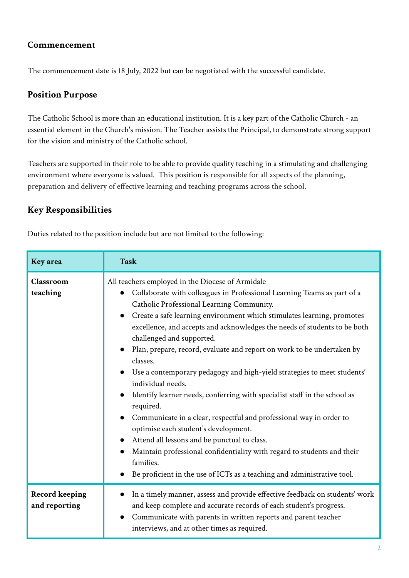### **Commencement**

The commencement date is 18 July, 2022 but can be negotiated with the successful candidate.

### **Position Purpose**

The Catholic School is more than an educational institution. It is a key part of the Catholic Church - an essential element in the Church's mission. The Teacher assists the Principal, to demonstrate strong support for the vision and ministry of the Catholic school.

Teachers are supported in their role to be able to provide quality teaching in a stimulating and challenging environment where everyone is valued. This position is responsible for all aspects of the planning, preparation and delivery of effective learning and teaching programs across the school.

### **Key Responsibilities**

Duties related to the position include but are not limited to the following:

| <b>Key</b> area                        | <b>Task</b>                                                                                                                                                                                                                                                                                                                                                                                                                                                                                                                                                                                                                                                                                                                                                                                                                                                                                                                                                                                              |
|----------------------------------------|----------------------------------------------------------------------------------------------------------------------------------------------------------------------------------------------------------------------------------------------------------------------------------------------------------------------------------------------------------------------------------------------------------------------------------------------------------------------------------------------------------------------------------------------------------------------------------------------------------------------------------------------------------------------------------------------------------------------------------------------------------------------------------------------------------------------------------------------------------------------------------------------------------------------------------------------------------------------------------------------------------|
| Classroom<br>teaching                  | All teachers employed in the Diocese of Armidale<br>Collaborate with colleagues in Professional Learning Teams as part of a<br>$\bullet$<br>Catholic Professional Learning Community.<br>Create a safe learning environment which stimulates learning, promotes<br>$\bullet$<br>excellence, and accepts and acknowledges the needs of students to be both<br>challenged and supported.<br>Plan, prepare, record, evaluate and report on work to be undertaken by<br>classes.<br>Use a contemporary pedagogy and high-yield strategies to meet students'<br>individual needs.<br>Identify learner needs, conferring with specialist staff in the school as<br>required.<br>Communicate in a clear, respectful and professional way in order to<br>optimise each student's development.<br>Attend all lessons and be punctual to class.<br>Maintain professional confidentiality with regard to students and their<br>families.<br>Be proficient in the use of ICTs as a teaching and administrative tool. |
| <b>Record keeping</b><br>and reporting | In a timely manner, assess and provide effective feedback on students' work<br>●<br>and keep complete and accurate records of each student's progress.<br>Communicate with parents in written reports and parent teacher<br>$\bullet$<br>interviews, and at other times as required.                                                                                                                                                                                                                                                                                                                                                                                                                                                                                                                                                                                                                                                                                                                     |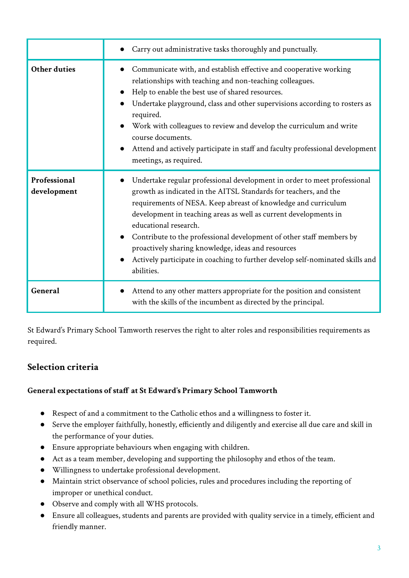|                             | Carry out administrative tasks thoroughly and punctually.                                                                                                                                                                                                                                                                                                                                                                                                                                                                                |
|-----------------------------|------------------------------------------------------------------------------------------------------------------------------------------------------------------------------------------------------------------------------------------------------------------------------------------------------------------------------------------------------------------------------------------------------------------------------------------------------------------------------------------------------------------------------------------|
| <b>Other duties</b>         | Communicate with, and establish effective and cooperative working<br>relationships with teaching and non-teaching colleagues.<br>Help to enable the best use of shared resources.<br>Undertake playground, class and other supervisions according to rosters as<br>required.<br>Work with colleagues to review and develop the curriculum and write<br>course documents.<br>Attend and actively participate in staff and faculty professional development<br>meetings, as required.                                                      |
| Professional<br>development | Undertake regular professional development in order to meet professional<br>growth as indicated in the AITSL Standards for teachers, and the<br>requirements of NESA. Keep abreast of knowledge and curriculum<br>development in teaching areas as well as current developments in<br>educational research.<br>Contribute to the professional development of other staff members by<br>proactively sharing knowledge, ideas and resources<br>Actively participate in coaching to further develop self-nominated skills and<br>abilities. |
| General                     | Attend to any other matters appropriate for the position and consistent<br>with the skills of the incumbent as directed by the principal.                                                                                                                                                                                                                                                                                                                                                                                                |

St Edward's Primary School Tamworth reserves the right to alter roles and responsibilities requirements as required.

## **Selection criteria**

#### **General expectations of staff at St Edward's Primary School Tamworth**

- Respect of and a commitment to the Catholic ethos and a willingness to foster it.
- Serve the employer faithfully, honestly, efficiently and diligently and exercise all due care and skill in the performance of your duties.
- Ensure appropriate behaviours when engaging with children.
- Act as a team member, developing and supporting the philosophy and ethos of the team.
- Willingness to undertake professional development.
- Maintain strict observance of school policies, rules and procedures including the reporting of improper or unethical conduct.
- Observe and comply with all WHS protocols.
- Ensure all colleagues, students and parents are provided with quality service in a timely, efficient and friendly manner.